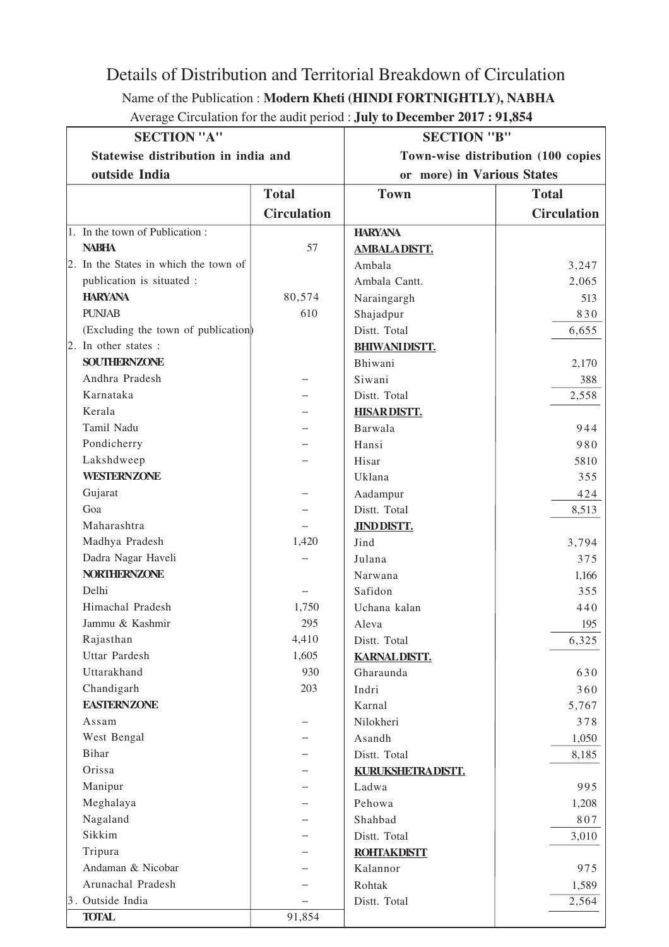## Details of Distribution and Territorial Breakdown of Circulation

## Name of the Publication : **Modern Kheti (HINDI FORTNIGHTLY), NABHA**

| Average Circulation for the audit period : July to December 2017 : 91,854 |  |  |  |  |
|---------------------------------------------------------------------------|--|--|--|--|
|---------------------------------------------------------------------------|--|--|--|--|

| <b>SECTION "A"</b>                    |                    | <b>SECTION "B"</b>                 |                    |  |
|---------------------------------------|--------------------|------------------------------------|--------------------|--|
| Statewise distribution in india and   |                    | Town-wise distribution (100 copies |                    |  |
| outside India                         |                    | or more) in Various States         |                    |  |
|                                       | <b>Total</b>       | <b>Town</b>                        | <b>Total</b>       |  |
|                                       | <b>Circulation</b> |                                    | <b>Circulation</b> |  |
| 1. In the town of Publication:        |                    | <b>HARYANA</b>                     |                    |  |
| <b>NABHA</b>                          | 57                 | <b>AMBALADISTT.</b>                |                    |  |
| 2. In the States in which the town of |                    | Ambala                             | 3,247              |  |
| publication is situated :             |                    | Ambala Cantt.                      | 2,065              |  |
| <b>HARYANA</b>                        | 80,574             | Naraingargh                        | 513                |  |
| <b>PUNJAB</b>                         | 610                | Shajadpur                          | 830                |  |
| (Excluding the town of publication)   |                    | Distt. Total                       | 6,655              |  |
| 2. In other states :                  |                    | <b>BHIWANIDISTT.</b>               |                    |  |
| <b>SOUTHERNZONE</b>                   |                    | Bhiwani                            | 2,170              |  |
| Andhra Pradesh                        |                    | Siwani                             | 388                |  |
| Karnataka                             |                    | Distt. Total                       | 2,558              |  |
| Kerala                                |                    | <b>HISARDISTT.</b>                 |                    |  |
| Tamil Nadu                            |                    | Barwala                            | 944                |  |
| Pondicherry                           |                    | Hansi                              | 980                |  |
| Lakshdweep                            |                    | Hisar                              | 5810               |  |
| <b>WESTERNZONE</b>                    |                    | Uklana                             | 355                |  |
| Gujarat                               |                    | Aadampur                           | 424                |  |
| Goa                                   |                    | Distt. Total                       | 8,513              |  |
| Maharashtra                           |                    | <b>JINDDISTT.</b>                  |                    |  |
| Madhya Pradesh                        | 1,420              | Jind                               | 3,794              |  |
| Dadra Nagar Haveli                    |                    | Julana                             | 375                |  |
| <b>NORTHERNZONE</b>                   |                    | Narwana                            | 1,166              |  |
| Delhi                                 |                    | Safidon                            | 355                |  |
| Himachal Pradesh                      | 1,750              | Uchana kalan                       | 440                |  |
| Jammu & Kashmir                       | 295                | Aleva                              | 195                |  |
| Rajasthan                             | 4,410              | Distt. Total                       | 6,325              |  |
| Uttar Pardesh                         | 1,605              | <b>KARNAL DISTT.</b>               |                    |  |
| Uttarakhand                           | 930                | Gharaunda                          | 630                |  |
| Chandigarh                            | 203                | Indri                              | 360                |  |
| <b>EASTERNZONE</b>                    |                    | Karnal                             | 5,767              |  |
| Assam                                 |                    | Nilokheri                          | 378                |  |
| West Bengal                           |                    | Asandh                             | 1,050              |  |
| Bihar                                 |                    | Distt. Total                       | 8,185              |  |
| Orissa                                |                    | KURUKSHETRA DISTT.                 |                    |  |
| Manipur                               |                    | Ladwa                              | 995                |  |
| Meghalaya                             |                    | Pehowa                             | 1,208              |  |
| Nagaland                              |                    | Shahbad                            | 807                |  |
| Sikkim                                |                    | Distt. Total                       | 3,010              |  |
| Tripura                               |                    | <b>ROHTAKDISTT</b>                 |                    |  |
| Andaman & Nicobar                     |                    | Kalannor                           | 975                |  |
| Arunachal Pradesh                     |                    | Rohtak                             | 1,589              |  |
| 3. Outside India                      |                    | Distt. Total                       | 2,564              |  |
| <b>TOTAL</b>                          | 91,854             |                                    |                    |  |